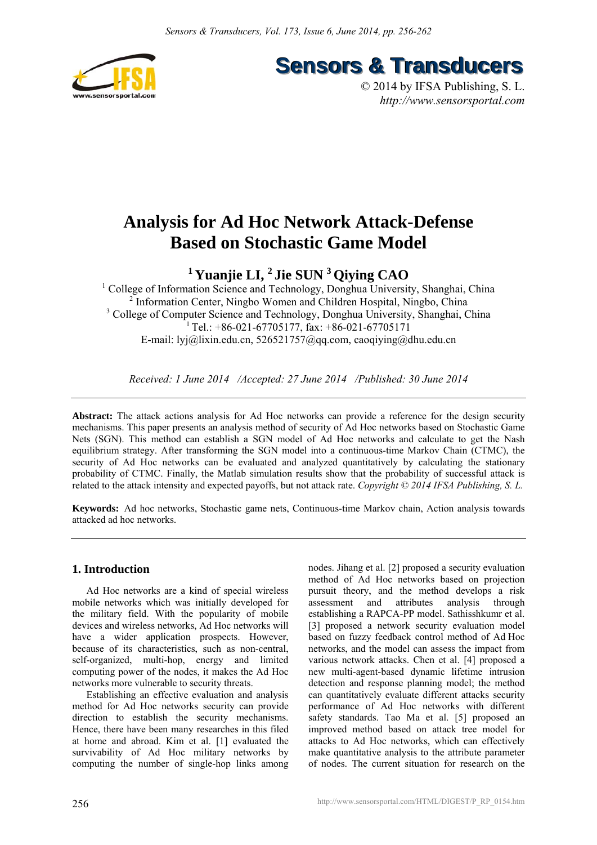

**Sensors & Transducers** 

© 2014 by IFSA Publishing, S. L. *http://www.sensorsportal.com*

# **Analysis for Ad Hoc Network Attack-Defense Based on Stochastic Game Model**

**1 Yuanjie LI, 2 Jie SUN 3 Qiying CAO** 

<sup>1</sup> College of Information Science and Technology, Donghua University, Shanghai, China <sup>2</sup> Information Center, Ningbo Women and Children Hospital, Ningbo, China <sup>3</sup> College of Computer Science and Technology, Donghua University, Shanghai, China <sup>1</sup> Tel.: +86-021-67705177, fax: +86-021-67705171 E-mail: lyj@lixin.edu.cn, 526521757@qq.com, caoqiying@dhu.edu.cn

*Received: 1 June 2014 /Accepted: 27 June 2014 /Published: 30 June 2014*

**Abstract:** The attack actions analysis for Ad Hoc networks can provide a reference for the design security mechanisms. This paper presents an analysis method of security of Ad Hoc networks based on Stochastic Game Nets (SGN). This method can establish a SGN model of Ad Hoc networks and calculate to get the Nash equilibrium strategy. After transforming the SGN model into a continuous-time Markov Chain (CTMC), the security of Ad Hoc networks can be evaluated and analyzed quantitatively by calculating the stationary probability of CTMC. Finally, the Matlab simulation results show that the probability of successful attack is related to the attack intensity and expected payoffs, but not attack rate. *Copyright © 2014 IFSA Publishing, S. L.*

**Keywords:** Ad hoc networks, Stochastic game nets, Continuous-time Markov chain, Action analysis towards attacked ad hoc networks.

# **1. Introduction**

Ad Hoc networks are a kind of special wireless mobile networks which was initially developed for the military field. With the popularity of mobile devices and wireless networks, Ad Hoc networks will have a wider application prospects. However, because of its characteristics, such as non-central, self-organized, multi-hop, energy and limited computing power of the nodes, it makes the Ad Hoc networks more vulnerable to security threats.

Establishing an effective evaluation and analysis method for Ad Hoc networks security can provide direction to establish the security mechanisms. Hence, there have been many researches in this filed at home and abroad. Kim et al. [1] evaluated the survivability of Ad Hoc military networks by computing the number of single-hop links among nodes. Jihang et al. [2] proposed a security evaluation method of Ad Hoc networks based on projection pursuit theory, and the method develops a risk assessment and attributes analysis through establishing a RAPCA-PP model. Sathisshkumr et al. [3] proposed a network security evaluation model based on fuzzy feedback control method of Ad Hoc networks, and the model can assess the impact from various network attacks. Chen et al. [4] proposed a new multi-agent-based dynamic lifetime intrusion detection and response planning model; the method can quantitatively evaluate different attacks security performance of Ad Hoc networks with different safety standards. Tao Ma et al. [5] proposed an improved method based on attack tree model for attacks to Ad Hoc networks, which can effectively make quantitative analysis to the attribute parameter of nodes. The current situation for research on the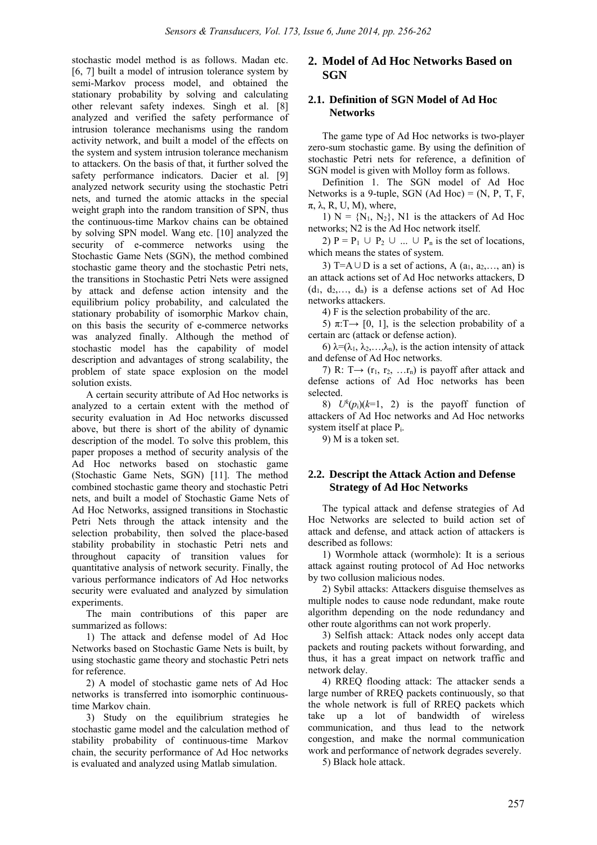stochastic model method is as follows. Madan etc. [6, 7] built a model of intrusion tolerance system by semi-Markov process model, and obtained the stationary probability by solving and calculating other relevant safety indexes. Singh et al. [8] analyzed and verified the safety performance of intrusion tolerance mechanisms using the random activity network, and built a model of the effects on the system and system intrusion tolerance mechanism to attackers. On the basis of that, it further solved the safety performance indicators. Dacier et al. [9] analyzed network security using the stochastic Petri nets, and turned the atomic attacks in the special weight graph into the random transition of SPN, thus the continuous-time Markov chains can be obtained by solving SPN model. Wang etc. [10] analyzed the security of e-commerce networks using the Stochastic Game Nets (SGN), the method combined stochastic game theory and the stochastic Petri nets, the transitions in Stochastic Petri Nets were assigned by attack and defense action intensity and the equilibrium policy probability, and calculated the stationary probability of isomorphic Markov chain, on this basis the security of e-commerce networks was analyzed finally. Although the method of stochastic model has the capability of model description and advantages of strong scalability, the problem of state space explosion on the model solution exists.

A certain security attribute of Ad Hoc networks is analyzed to a certain extent with the method of security evaluation in Ad Hoc networks discussed above, but there is short of the ability of dynamic description of the model. To solve this problem, this paper proposes a method of security analysis of the Ad Hoc networks based on stochastic game (Stochastic Game Nets, SGN) [11]. The method combined stochastic game theory and stochastic Petri nets, and built a model of Stochastic Game Nets of Ad Hoc Networks, assigned transitions in Stochastic Petri Nets through the attack intensity and the selection probability, then solved the place-based stability probability in stochastic Petri nets and throughout capacity of transition values for quantitative analysis of network security. Finally, the various performance indicators of Ad Hoc networks security were evaluated and analyzed by simulation experiments.

The main contributions of this paper are summarized as follows:

1) The attack and defense model of Ad Hoc Networks based on Stochastic Game Nets is built, by using stochastic game theory and stochastic Petri nets for reference.

2) A model of stochastic game nets of Ad Hoc networks is transferred into isomorphic continuoustime Markov chain.

3) Study on the equilibrium strategies he stochastic game model and the calculation method of stability probability of continuous-time Markov chain, the security performance of Ad Hoc networks is evaluated and analyzed using Matlab simulation.

## **2. Model of Ad Hoc Networks Based on SGN**

#### **2.1. Definition of SGN Model of Ad Hoc Networks**

The game type of Ad Hoc networks is two-player zero-sum stochastic game. By using the definition of stochastic Petri nets for reference, a definition of SGN model is given with Molloy form as follows.

Definition 1. The SGN model of Ad Hoc Networks is a 9-tuple, SGN  $(Ad Hoc) = (N, P, T, F,$  $π$ ,  $λ$ ,  $R$ ,  $U$ ,  $M$ ), where,

1)  $N = {N_1, N_2}$ , N1 is the attackers of Ad Hoc networks; N2 is the Ad Hoc network itself.

2)  $P = P_1 \cup P_2 \cup ... \cup P_n$  is the set of locations, which means the states of system.

3) T=A∪D is a set of actions, A  $(a_1, a_2, \ldots, a_n)$  is an attack actions set of Ad Hoc networks attackers, D  $(d_1, d_2, \ldots, d_n)$  is a defense actions set of Ad Hoc networks attackers.

4) F is the selection probability of the arc.

5)  $\pi: T \rightarrow [0, 1]$ , is the selection probability of a certain arc (attack or defense action).

6)  $\lambda = (\lambda_1, \lambda_2, \ldots, \lambda_n)$ , is the action intensity of attack and defense of Ad Hoc networks.

7) R: T $\rightarrow$  (r<sub>1</sub>, r<sub>2</sub>, ...r<sub>n</sub>) is payoff after attack and defense actions of Ad Hoc networks has been selected.

8)  $U^k(p_i)(k=1, 2)$  is the payoff function of attackers of Ad Hoc networks and Ad Hoc networks system itself at place Pi.

9) M is a token set.

## **2.2. Descript the Attack Action and Defense Strategy of Ad Hoc Networks**

The typical attack and defense strategies of Ad Hoc Networks are selected to build action set of attack and defense, and attack action of attackers is described as follows:

1) Wormhole attack (wormhole): It is a serious attack against routing protocol of Ad Hoc networks by two collusion malicious nodes.

2) Sybil attacks: Attackers disguise themselves as multiple nodes to cause node redundant, make route algorithm depending on the node redundancy and other route algorithms can not work properly.

3) Selfish attack: Attack nodes only accept data packets and routing packets without forwarding, and thus, it has a great impact on network traffic and network delay.

4) RREQ flooding attack: The attacker sends a large number of RREQ packets continuously, so that the whole network is full of RREQ packets which take up a lot of bandwidth of wireless communication, and thus lead to the network congestion, and make the normal communication work and performance of network degrades severely.

5) Black hole attack.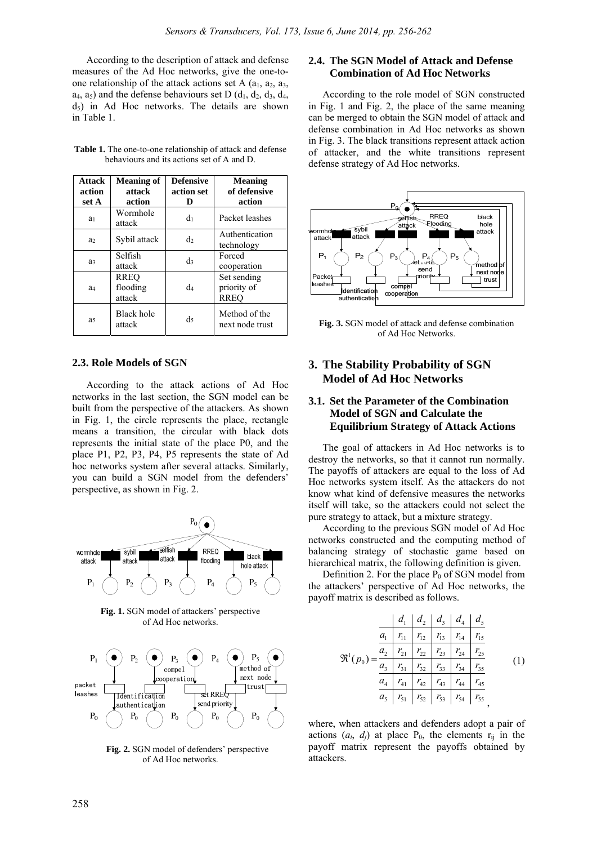According to the description of attack and defense measures of the Ad Hoc networks, give the one-toone relationship of the attack actions set A  $(a_1, a_2, a_3, a_4)$  $a_4$ ,  $a_5$ ) and the defense behaviours set D ( $d_1$ ,  $d_2$ ,  $d_3$ ,  $d_4$ ,  $d_5$ ) in Ad Hoc networks. The details are shown in Table 1.

| Attack<br>action<br>set A | <b>Meaning of</b><br>attack<br>action | <b>Defensive</b><br>action set<br>D | <b>Meaning</b><br>of defensive<br>action  |
|---------------------------|---------------------------------------|-------------------------------------|-------------------------------------------|
| a <sub>1</sub>            | Wormhole<br>attack                    | dı                                  | Packet leashes                            |
| a <sub>2</sub>            | Sybil attack                          | d2                                  | Authentication<br>technology              |
| a <sub>3</sub>            | Selfish<br>attack                     | d3                                  | Forced<br>cooperation                     |
| a4                        | RREO<br>flooding<br>attack            | d4                                  | Set sending<br>priority of<br><b>RREO</b> |
| a <sub>5</sub>            | Black hole<br>attack                  | $\mathrm{d}_5$                      | Method of the<br>next node trust          |

Table 1. The one-to-one relationship of attack and defense behaviours and its actions set of A and D.

#### **2.3. Role Models of SGN**

According to the attack actions of Ad Hoc networks in the last section, the SGN model can be built from the perspective of the attackers. As shown in Fig. 1, the circle represents the place, rectangle means a transition, the circular with black dots represents the initial state of the place P0, and the place P1, P2, P3, P4, P5 represents the state of Ad hoc networks system after several attacks. Similarly, you can build a SGN model from the defenders' perspective, as shown in Fig. 2.



**Fig. 1.** SGN model of attackers' perspective of Ad Hoc networks.



**Fig. 2.** SGN model of defenders' perspective of Ad Hoc networks.

## **2.4. The SGN Model of Attack and Defense Combination of Ad Hoc Networks**

According to the role model of SGN constructed in Fig. 1 and Fig. 2, the place of the same meaning can be merged to obtain the SGN model of attack and defense combination in Ad Hoc networks as shown in Fig. 3. The black transitions represent attack action of attacker, and the white transitions represent defense strategy of Ad Hoc networks.



**Fig. 3.** SGN model of attack and defense combination of Ad Hoc Networks.

## **3. The Stability Probability of SGN Model of Ad Hoc Networks**

## **3.1. Set the Parameter of the Combination Model of SGN and Calculate the Equilibrium Strategy of Attack Actions**

The goal of attackers in Ad Hoc networks is to destroy the networks, so that it cannot run normally. The payoffs of attackers are equal to the loss of Ad Hoc networks system itself. As the attackers do not know what kind of defensive measures the networks itself will take, so the attackers could not select the pure strategy to attack, but a mixture strategy.

According to the previous SGN model of Ad Hoc networks constructed and the computing method of balancing strategy of stochastic game based on hierarchical matrix, the following definition is given.

Definition 2. For the place  $P_0$  of SGN model from the attackers' perspective of Ad Hoc networks, the payoff matrix is described as follows.

$$
\mathfrak{R}^{1}(p_{0}) = \frac{\begin{vmatrix} d_{1} & d_{2} & d_{3} & d_{4} & d_{5} \\ a_{1} & r_{11} & r_{12} & r_{13} & r_{14} & r_{15} \\ a_{2} & r_{21} & r_{22} & r_{23} & r_{24} & r_{25} \\ a_{3} & r_{31} & r_{32} & r_{33} & r_{34} & r_{35} \\ a_{4} & r_{41} & r_{42} & r_{43} & r_{44} & r_{45} \\ a_{5} & r_{51} & r_{52} & r_{53} & r_{54} & r_{55} \end{vmatrix} (1)
$$

where, when attackers and defenders adopt a pair of actions  $(a_i, d_j)$  at place  $P_0$ , the elements  $r_{ij}$  in the payoff matrix represent the payoffs obtained by attackers.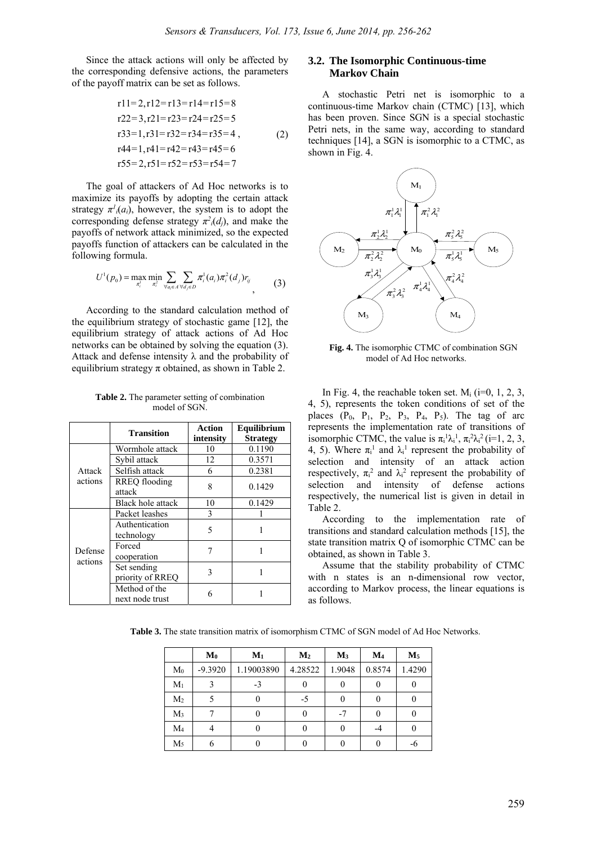Since the attack actions will only be affected by the corresponding defensive actions, the parameters of the payoff matrix can be set as follows.

$$
r11=2, r12=r13=r14=r15=8
$$
  
\n
$$
r22=3, r21=r23=r24=r25=5
$$
  
\n
$$
r33=1, r31=r32=r34=r35=4
$$
,  
\n
$$
r44=1, r41=r42=r43=r45=6
$$
  
\n
$$
r55=2, r51=r52=r53=r54=7
$$

The goal of attackers of Ad Hoc networks is to maximize its payoffs by adopting the certain attack strategy  $\pi^{l_i}(a_i)$ , however, the system is to adopt the corresponding defense strategy  $\pi^2_i(d_j)$ , and make the payoffs of network attack minimized, so the expected payoffs function of attackers can be calculated in the following formula.

$$
U^{1}(p_{0}) = \max_{\pi_{i}^{1}} \min_{\pi_{i}^{2}} \sum_{\forall a_{i} \in A} \sum_{\forall d_{j} \in D} \pi_{i}^{1}(a_{i}) \pi_{i}^{2}(d_{j}) r_{ij}
$$
(3)

According to the standard calculation method of the equilibrium strategy of stochastic game [12], the equilibrium strategy of attack actions of Ad Hoc networks can be obtained by solving the equation (3). Attack and defense intensity  $\lambda$  and the probability of equilibrium strategy  $\pi$  obtained, as shown in Table 2.

**Table 2.** The parameter setting of combination model of SGN.

|                    | <b>Transition</b>                | Action    | Equilibrium     |  |
|--------------------|----------------------------------|-----------|-----------------|--|
|                    |                                  | intensity | <b>Strategy</b> |  |
| Attack<br>actions  | Wormhole attack                  | 10        | 0.1190          |  |
|                    | Sybil attack                     | 12        | 0.3571          |  |
|                    | Selfish attack                   | 6         | 0.2381          |  |
|                    | RREQ flooding<br>attack          | 8         | 0.1429          |  |
|                    | Black hole attack                | 10        | 0.1429          |  |
| Defense<br>actions | Packet leashes                   | 3         |                 |  |
|                    | Authentication<br>technology     | 5         |                 |  |
|                    | Forced<br>cooperation            |           |                 |  |
|                    | Set sending<br>priority of RREQ  | 3         |                 |  |
|                    | Method of the<br>next node trust | 6         |                 |  |

#### **3.2. The Isomorphic Continuous-time Markov Chain**

A stochastic Petri net is isomorphic to a continuous-time Markov chain (CTMC) [13], which has been proven. Since SGN is a special stochastic Petri nets, in the same way, according to standard techniques [14], a SGN is isomorphic to a CTMC, as shown in Fig. 4.



**Fig. 4.** The isomorphic CTMC of combination SGN model of Ad Hoc networks.

In Fig. 4, the reachable token set.  $M_i$  (i=0, 1, 2, 3, 4, 5), represents the token conditions of set of the places  $(P_0, P_1, P_2, P_3, P_4, P_5)$ . The tag of arc represents the implementation rate of transitions of isomorphic CTMC, the value is  $\pi_i^1 \lambda_i^1$ ,  $\pi_i^2 \lambda_i^2$  (i=1, 2, 3, 4, 5). Where  $\pi$ <sup>1</sup> and  $\lambda$ <sup>1</sup> represent the probability of selection and intensity of an attack action respectively,  $\pi_i^2$  and  $\lambda_i^2$  represent the probability of selection and intensity of defense actions respectively, the numerical list is given in detail in Table 2.

According to the implementation rate of transitions and standard calculation methods [15], the state transition matrix Q of isomorphic CTMC can be obtained, as shown in Table 3.

Assume that the stability probability of CTMC with n states is an n-dimensional row vector, according to Markov process, the linear equations is as follows.

**Table 3.** The state transition matrix of isomorphism CTMC of SGN model of Ad Hoc Networks.

|                | $\mathbf{M_0}$ | $M_1$      | M <sub>2</sub> | $M_3$  | $\mathbf{M}_4$ | $M_5$  |
|----------------|----------------|------------|----------------|--------|----------------|--------|
| M <sub>0</sub> | $-9.3920$      | 1.19003890 | 4.28522        | 1.9048 | 0.8574         | 1.4290 |
| $M_1$          |                | $-3$       |                |        |                |        |
| M <sub>2</sub> |                |            | $-5$           |        |                |        |
| $M_3$          |                |            |                | -7     |                |        |
| M <sub>4</sub> |                |            |                |        |                |        |
| M <sub>5</sub> |                |            |                |        |                |        |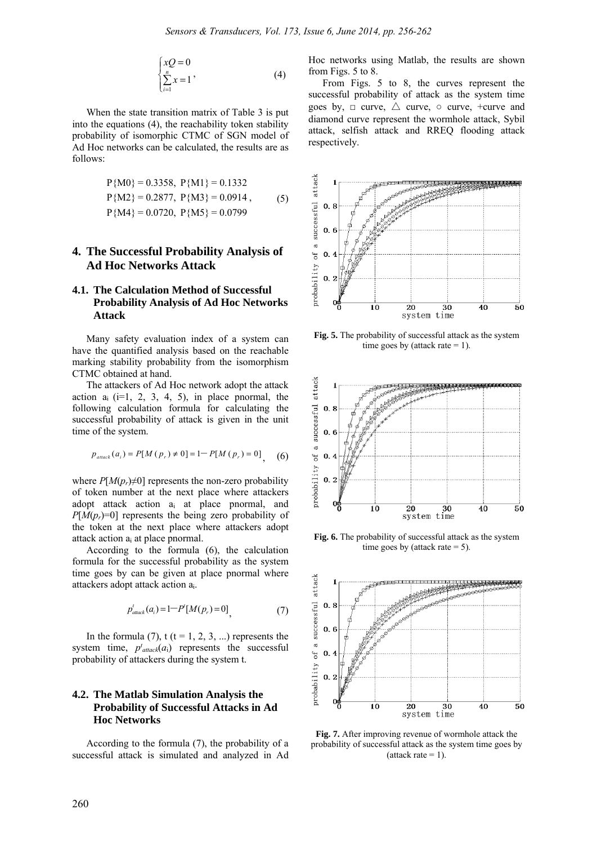$$
\begin{cases}\nxQ = 0\\ \sum_{i=1}^{n} x = 1\n\end{cases}
$$
\n(4)

When the state transition matrix of Table 3 is put into the equations (4), the reachability token stability probability of isomorphic CTMC of SGN model of Ad Hoc networks can be calculated, the results are as follows:

$$
P\{M0\} = 0.3358, P\{M1\} = 0.1332
$$
  
\n
$$
P\{M2\} = 0.2877, P\{M3\} = 0.0914,
$$
  
\n
$$
P\{M4\} = 0.0720, P\{M5\} = 0.0799
$$
 (5)

# **4. The Successful Probability Analysis of Ad Hoc Networks Attack**

#### **4.1. The Calculation Method of Successful Probability Analysis of Ad Hoc Networks Attack**

Many safety evaluation index of a system can have the quantified analysis based on the reachable marking stability probability from the isomorphism CTMC obtained at hand.

The attackers of Ad Hoc network adopt the attack action  $a_i$  (i=1, 2, 3, 4, 5), in place pnormal, the following calculation formula for calculating the successful probability of attack is given in the unit time of the system.

$$
p_{\text{attack}}(a_i) = P[M(p_r) \neq 0] = 1 - P[M(p_r) = 0], \quad (6)
$$

where  $P[M(p_r)\neq 0]$  represents the non-zero probability of token number at the next place where attackers adopt attack action ai at place pnormal, and  $P[M(p_r)=0]$  represents the being zero probability of the token at the next place where attackers adopt attack action ai at place pnormal.

According to the formula (6), the calculation formula for the successful probability as the system time goes by can be given at place pnormal where attackers adopt attack action ai.

$$
p'_{atack}(a_i) = 1 - P'[M(p_r) = 0], \tag{7}
$$

In the formula (7),  $t$  ( $t = 1, 2, 3, ...$ ) represents the system time,  $p<sup>t</sup><sub>attack</sub>(a<sub>i</sub>)$  represents the successful probability of attackers during the system t.

#### **4.2. The Matlab Simulation Analysis the Probability of Successful Attacks in Ad Hoc Networks**

According to the formula (7), the probability of a successful attack is simulated and analyzed in Ad

Hoc networks using Matlab, the results are shown from Figs. 5 to 8.

From Figs. 5 to 8, the curves represent the successful probability of attack as the system time goes by,  $\Box$  curve,  $\triangle$  curve,  $\circ$  curve, +curve and diamond curve represent the wormhole attack, Sybil attack, selfish attack and RREQ flooding attack respectively.



**Fig. 5.** The probability of successful attack as the system time goes by (attack rate  $= 1$ ).



**Fig. 6.** The probability of successful attack as the system time goes by (attack rate  $= 5$ ).



**Fig. 7.** After improving revenue of wormhole attack the probability of successful attack as the system time goes by (attack rate  $= 1$ ).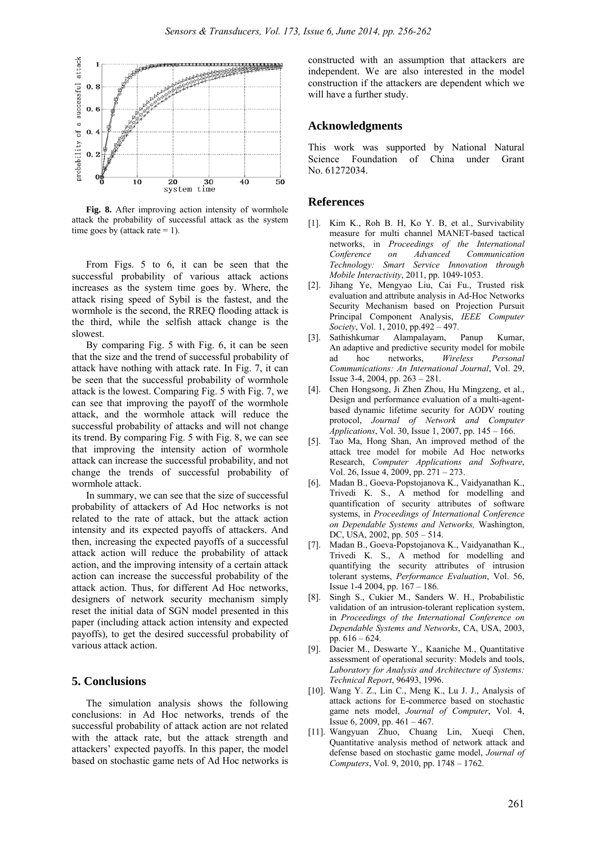

**Fig. 8.** After improving action intensity of wormhole attack the probability of successful attack as the system time goes by (attack rate  $= 1$ ).

From Figs. 5 to 6, it can be seen that the successful probability of various attack actions increases as the system time goes by. Where, the attack rising speed of Sybil is the fastest, and the wormhole is the second, the RREQ flooding attack is the third, while the selfish attack change is the slowest.

By comparing Fig. 5 with Fig. 6, it can be seen that the size and the trend of successful probability of attack have nothing with attack rate. In Fig. 7, it can be seen that the successful probability of wormhole attack is the lowest. Comparing Fig. 5 with Fig. 7, we can see that improving the payoff of the wormhole attack, and the wormhole attack will reduce the successful probability of attacks and will not change its trend. By comparing Fig. 5 with Fig. 8, we can see that improving the intensity action of wormhole attack can increase the successful probability, and not change the trends of successful probability of wormhole attack.

In summary, we can see that the size of successful probability of attackers of Ad Hoc networks is not related to the rate of attack, but the attack action intensity and its expected payoffs of attackers. And then, increasing the expected payoffs of a successful attack action will reduce the probability of attack action, and the improving intensity of a certain attack action can increase the successful probability of the attack action. Thus, for different Ad Hoc networks, designers of network security mechanism simply reset the initial data of SGN model presented in this paper (including attack action intensity and expected payoffs), to get the desired successful probability of various attack action.

#### **5. Conclusions**

The simulation analysis shows the following conclusions: in Ad Hoc networks, trends of the successful probability of attack action are not related with the attack rate, but the attack strength and attackers' expected payoffs. In this paper, the model based on stochastic game nets of Ad Hoc networks is constructed with an assumption that attackers are independent. We are also interested in the model construction if the attackers are dependent which we will have a further study.

#### **Acknowledgments**

This work was supported by National Natural Science Foundation of China under Grant No. 61272034.

#### **References**

- [1]. Kim K., Roh B. H, Ko Y. B, et al., Survivability measure for multi channel MANET-based tactical networks, in *Proceedings of the International Conference on Advanced Communication Technology: Smart Service Innovation through Mobile Interactivity*, 2011, pp. 1049-1053.
- [2]. Jihang Ye, Mengyao Liu, Cai Fu., Trusted risk evaluation and attribute analysis in Ad-Hoc Networks Security Mechanism based on Projection Pursuit Principal Component Analysis, *IEEE Computer Society*, Vol. 1, 2010, pp.492 – 497.
- [3]. Sathishkumar Alampalayam, Panup Kumar, An adaptive and predictive security model for mobile ad hoc networks, *Wireless Personal Communications: An International Journal*, Vol. 29, Issue 3-4, 2004, pp. 263 – 281.
- [4]. Chen Hongsong, Ji Zhen Zhou, Hu Mingzeng, et al., Design and performance evaluation of a multi-agentbased dynamic lifetime security for AODV routing protocol, *Journal of Network and Computer Applications*, Vol. 30, Issue 1, 2007, pp. 145 – 166.
- [5]. Tao Ma, Hong Shan, An improved method of the attack tree model for mobile Ad Hoc networks Research, *Computer Applications and Software*, Vol. 26, Issue 4, 2009, pp. 271 – 273.
- [6]. Madan B., Goeva-Popstojanova K., Vaidyanathan K., Trivedi K. S., A method for modelling and quantification of security attributes of software systems, in *Proceedings of International Conference on Dependable Systems and Networks,* Washington, DC, USA, 2002, pp. 505 – 514.
- [7]. Madan B., Goeva-Popstojanova K., Vaidyanathan K., Trivedi K. S., A method for modelling and quantifying the security attributes of intrusion tolerant systems, *Performance Evaluation*, Vol. 56, Issue 1-4 2004, pp. 167 – 186.
- [8]. Singh S., Cukier M., Sanders W. H., Probabilistic validation of an intrusion-tolerant replication system, in *Proceedings of the International Conference on Dependable Systems and Networks*, CA, USA, 2003, pp. 616 – 624.
- [9]. Dacier M., Deswarte Y., Kaaniche M., Quantitative assessment of operational security: Models and tools, *Laboratory for Analysis and Architecture of Systems: Technical Report*, 96493, 1996.
- [10]. Wang Y. Z., Lin C., Meng K., Lu J. J., Analysis of attack actions for E-commerce based on stochastic game nets model, *Journal of Computer*, Vol. 4, Issue 6, 2009, pp. 461 – 467.
- [11]. Wangyuan Zhuo, Chuang Lin, Xueqi Chen, Quantitative analysis method of network attack and defense based on stochastic game model, *Journal of Computers*, Vol. 9, 2010, pp. 1748 – 1762.